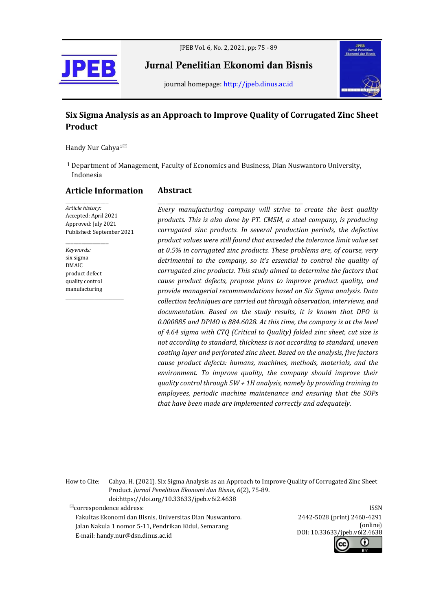

JPEB Vol. 6, No. 2, 2021, pp: 75 - 89

Jurnal Penelitian Ekonomi dan Bisnis



journal homepage[: http://jpeb.dinus.ac.id](http://jpeb.dinus.ac.id/)

# **Six Sigma Analysis as an Approach to Improve Quality of Corrugated Zinc Sheet Product**

Handy Nur Cahya<sup>1⊠</sup>

1 Department of Management, Faculty of Economics and Business, Dian Nuswantoro University, Indonesia

**Abstract**

# **Article Information**

\_\_\_\_\_\_\_\_\_\_\_\_\_\_\_\_ *Article history:* Accepted: April 2021 Approved: July 2021 Published: September 2021

*Keywords:* six sigma DMAIC product defect quality control manufacturing

 $\_$ 

\_\_\_\_\_\_\_\_\_\_\_\_\_\_\_\_

\_\_\_\_\_\_\_\_\_\_\_\_\_\_\_\_\_\_\_\_\_\_\_\_\_\_\_\_\_\_\_\_\_\_\_\_\_\_\_\_\_\_\_\_\_\_\_\_\_\_\_\_\_\_ *Every manufacturing company will strive to create the best quality products. This is also done by PT. CMSM, a steel company, is producing corrugated zinc products. In several production periods, the defective product values were still found that exceeded the tolerance limit value set at 0.5% in corrugated zinc products. These problems are, of course, very detrimental to the company, so it's essential to control the quality of corrugated zinc products. This study aimed to determine the factors that cause product defects, propose plans to improve product quality, and provide managerial recommendations based on Six Sigma analysis. Data collection techniques are carried out through observation, interviews, and documentation. Based on the study results, it is known that DPO is 0.000885 and DPMO is 884.6028. At this time, the company is at the level of 4.64 sigma with CTQ (Critical to Quality) folded zinc sheet, cut size is not according to standard, thickness is not according to standard, uneven coating layer and perforated zinc sheet. Based on the analysis, five factors cause product defects: humans, machines, methods, materials, and the environment. To improve quality, the company should improve their quality control through 5W + 1H analysis, namely by providing training to employees, periodic machine maintenance and ensuring that the SOPs that have been made are implemented correctly and adequately.*

How to Cite: Cahya, H. (2021). Six Sigma Analysis as an Approach to Improve Quality of Corrugated Zinc Sheet Product. *Jurnal Penelitian Ekonomi dan Bisnis, 6*(2), 75-89. doi:https://doi.org/10.33633/jpeb.v6i2.4638

 $^{\mathbb{Z}}$ correspondence address:

 Fakultas Ekonomi dan Bisnis, Universitas Dian Nuswantoro. Jalan Nakula 1 nomor 5-11, Pendrikan Kidul, Semarang E-mail[: handy.nur@dsn.dinus.ac.id](mailto:handy.nur@dsn.dinus.ac.id)

ISSN 2442-5028 (print) 2460-4291 (online) DOI: 10.33633/jpeb.v6i2.4638Œ r.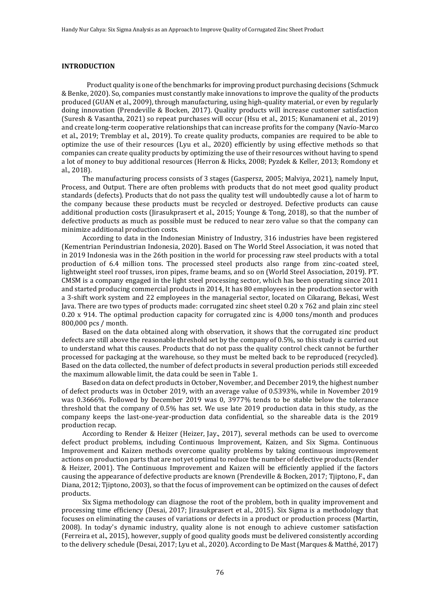# **INTRODUCTION**

 Product quality is one of the benchmarks for improving product purchasing decisions (Schmuck & Benke, 2020). So, companies must constantly make innovations to improve the quality of the products produced (GUAN et al., 2009), through manufacturing, using high-quality material, or even by regularly doing innovation (Prendeville & Bocken, 2017). Quality products will increase customer satisfaction (Suresh & Vasantha, 2021) so repeat purchases will occur (Hsu et al., 2015; Kunamaneni et al., 2019) and create long-term cooperative relationships that can increase profits for the company (Navío-Marco et al., 2019; Tremblay et al., 2019). To create quality products, companies are required to be able to optimize the use of their resources (Lyu et al., 2020) efficiently by using effective methods so that companies can create quality products by optimizing the use of their resources without having to spend a lot of money to buy additional resources (Herron & Hicks, 2008; Pyzdek & Keller, 2013; Romdony et al., 2018).

The manufacturing process consists of 3 stages (Gaspersz, 2005; Malviya, 2021), namely Input, Process, and Output. There are often problems with products that do not meet good quality product standards (defects). Products that do not pass the quality test will undoubtedly cause a lot of harm to the company because these products must be recycled or destroyed. Defective products can cause additional production costs (Jirasukprasert et al., 2015; Younge & Tong, 2018), so that the number of defective products as much as possible must be reduced to near zero value so that the company can minimize additional production costs.

According to data in the Indonesian Ministry of Industry, 316 industries have been registered (Kementrian Perindustrian Indonesia, 2020). Based on The World Steel Association, it was noted that in 2019 Indonesia was in the 26th position in the world for processing raw steel products with a total production of 6.4 million tons. The processed steel products also range from zinc-coated steel, lightweight steel roof trusses, iron pipes, frame beams, and so on (World Steel Association, 2019). PT. CMSM is a company engaged in the light steel processing sector, which has been operating since 2011 and started producing commercial products in 2014, It has 80 employees in the production sector with a 3-shift work system and 22 employees in the managerial sector, located on Cikarang, Bekasi, West Java. There are two types of products made: corrugated zinc sheet steel 0.20 x 762 and plain zinc steel  $0.20 \times 914$ . The optimal production capacity for corrugated zinc is 4,000 tons/month and produces 800,000 pcs / month.

Based on the data obtained along with observation, it shows that the corrugated zinc product defects are still above the reasonable threshold set by the company of 0.5%, so this study is carried out to understand what this causes. Products that do not pass the quality control check cannot be further processed for packaging at the warehouse, so they must be melted back to be reproduced (recycled). Based on the data collected, the number of defect products in several production periods still exceeded the maximum allowable limit, the data could be seen in Table 1.

Based on data on defect products in October, November, and December 2019, the highest number of defect products was in October 2019, with an average value of 0.5393%, while in November 2019 was 0.3666%. Followed by December 2019 was 0, 3977% tends to be stable below the tolerance threshold that the company of 0.5% has set. We use late 2019 production data in this study, as the company keeps the last-one-year-production data confidential, so the shareable data is the 2019 production recap.

According to Render & Heizer (Heizer, Jay., 2017), several methods can be used to overcome defect product problems, including Continuous Improvement, Kaizen, and Six Sigma. Continuous Improvement and Kaizen methods overcome quality problems by taking continuous improvement actions on production parts that are not yet optimal to reduce the number of defective products (Render & Heizer, 2001). The Continuous Improvement and Kaizen will be efficiently applied if the factors causing the appearance of defective products are known (Prendeville & Bocken, 2017; Tjiptono, F., dan Diana, 2012; Tjiptono, 2003), so that the focus of improvement can be optimized on the causes of defect products.

Six Sigma methodology can diagnose the root of the problem, both in quality improvement and processing time efficiency (Desai, 2017; Jirasukprasert et al., 2015). Six Sigma is a methodology that focuses on eliminating the causes of variations or defects in a product or production process (Martin, 2008). In today's dynamic industry, quality alone is not enough to achieve customer satisfaction (Ferreira et al., 2015), however, supply of good quality goods must be delivered consistently according to the delivery schedule (Desai, 2017; Lyu et al., 2020). According to De Mast (Marques & Matthé, 2017)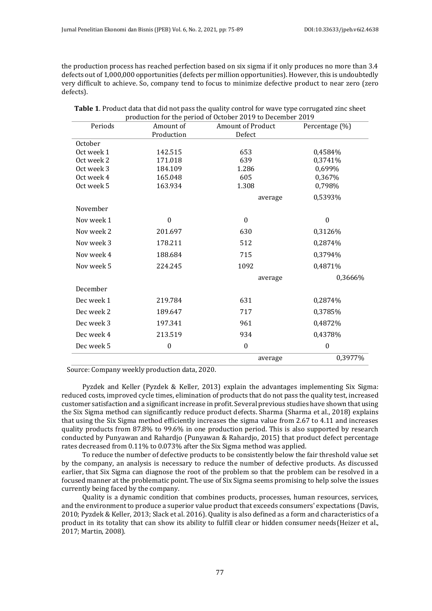the production process has reached perfection based on six sigma if it only produces no more than 3.4 defects out of 1,000,000 opportunities (defects per million opportunities). However, this is undoubtedly very difficult to achieve. So, company tend to focus to minimize defective product to near zero (zero defects).

| Periods    | Amount of        | <b>Amount of Product</b> | Percentage (%)   |
|------------|------------------|--------------------------|------------------|
|            | Production       | Defect                   |                  |
| October    |                  |                          |                  |
| Oct week 1 | 142.515          | 653                      | 0,4584%          |
| Oct week 2 | 171.018          | 639                      | 0,3741%          |
| Oct week 3 | 184.109          | 1.286                    | 0,699%           |
| Oct week 4 | 165.048          | 605                      | 0,367%           |
| Oct week 5 | 163.934          | 1.308                    | 0,798%           |
|            |                  | average                  | 0,5393%          |
| November   |                  |                          |                  |
| Nov week 1 | $\boldsymbol{0}$ | $\theta$                 | $\boldsymbol{0}$ |
| Nov week 2 | 201.697          | 630                      | 0,3126%          |
| Nov week 3 | 178.211          | 512                      | 0,2874%          |
| Nov week 4 | 188.684          | 715                      | 0,3794%          |
| Nov week 5 | 224.245          | 1092                     | 0,4871%          |
|            |                  | average                  | 0,3666%          |
| December   |                  |                          |                  |
| Dec week 1 | 219.784          | 631                      | 0,2874%          |
| Dec week 2 | 189.647          | 717                      | 0,3785%          |
| Dec week 3 | 197.341          | 961                      | 0,4872%          |
| Dec week 4 | 213.519          | 934                      | 0,4378%          |
| Dec week 5 | $\boldsymbol{0}$ | $\boldsymbol{0}$         | $\boldsymbol{0}$ |
|            |                  | average                  | 0,3977%          |

| Table 1. Product data that did not pass the quality control for wave type corrugated zinc sheet |  |
|-------------------------------------------------------------------------------------------------|--|
| production for the period of October 2019 to December 2019                                      |  |

Source: Company weekly production data, 2020.

Pyzdek and Keller (Pyzdek & Keller, 2013) explain the advantages implementing Six Sigma: reduced costs, improved cycle times, elimination of products that do not pass the quality test, increased customer satisfaction and a significant increase in profit. Several previous studies have shown that using the Six Sigma method can significantly reduce product defects. Sharma (Sharma et al., 2018) explains that using the Six Sigma method efficiently increases the sigma value from 2.67 to 4.11 and increases quality products from 87.8% to 99.6% in one production period. This is also supported by research conducted by Punyawan and Rahardjo (Punyawan & Rahardjo, 2015) that product defect percentage rates decreased from 0.11% to 0.073% after the Six Sigma method was applied.

To reduce the number of defective products to be consistently below the fair threshold value set by the company, an analysis is necessary to reduce the number of defective products. As discussed earlier, that Six Sigma can diagnose the root of the problem so that the problem can be resolved in a focused manner at the problematic point. The use of Six Sigma seems promising to help solve the issues currently being faced by the company.

Quality is a dynamic condition that combines products, processes, human resources, services, and the environment to produce a superior value product that exceeds consumers' expectations (Davis, 2010; Pyzdek & Keller, 2013; Slack et al. 2016). Quality is also defined as a form and characteristics of a product in its totality that can show its ability to fulfill clear or hidden consumer needs(Heizer et al., 2017; Martin, 2008).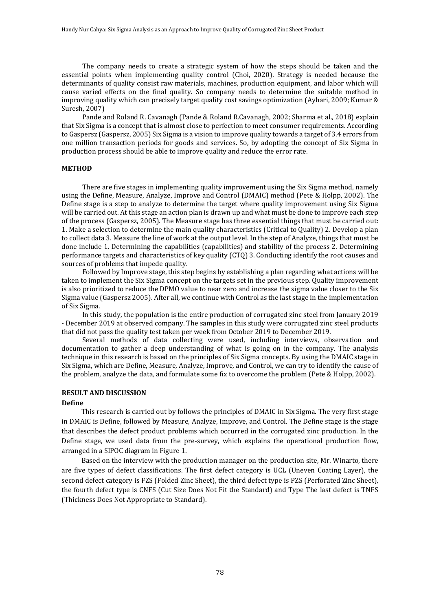The company needs to create a strategic system of how the steps should be taken and the essential points when implementing quality control (Choi, 2020). Strategy is needed because the determinants of quality consist raw materials, machines, production equipment, and labor which will cause varied effects on the final quality. So company needs to determine the suitable method in improving quality which can precisely target quality cost savings optimization (Ayhari, 2009; Kumar & Suresh, 2007)

Pande and Roland R. Cavanagh (Pande & Roland R.Cavanagh, 2002; Sharma et al., 2018) explain that Six Sigma is a concept that is almost close to perfection to meet consumer requirements. According to Gaspersz (Gaspersz, 2005) Six Sigma is a vision to improve quality towards a target of 3.4 errors from one million transaction periods for goods and services. So, by adopting the concept of Six Sigma in production process should be able to improve quality and reduce the error rate.

## **METHOD**

There are five stages in implementing quality improvement using the Six Sigma method, namely using the Define, Measure, Analyze, Improve and Control (DMAIC) method (Pete & Holpp, 2002). The Define stage is a step to analyze to determine the target where quality improvement using Six Sigma will be carried out. At this stage an action plan is drawn up and what must be done to improve each step of the process (Gaspersz, 2005). The Measure stage has three essential things that must be carried out: 1. Make a selection to determine the main quality characteristics (Critical to Quality) 2. Develop a plan to collect data 3. Measure the line of work at the output level. In the step of Analyze, things that must be done include 1. Determining the capabilities (capabilities) and stability of the process 2. Determining performance targets and characteristics of key quality (CTQ) 3. Conducting identify the root causes and sources of problems that impede quality.

Followed by Improve stage, this step begins by establishing a plan regarding what actions will be taken to implement the Six Sigma concept on the targets set in the previous step. Quality improvement is also prioritized to reduce the DPMO value to near zero and increase the sigma value closer to the Six Sigma value (Gaspersz 2005). After all, we continue with Control as the last stage in the implementation of Six Sigma.

In this study, the population is the entire production of corrugated zinc steel from January 2019 - December 2019 at observed company. The samples in this study were corrugated zinc steel products that did not pass the quality test taken per week from October 2019 to December 2019.

Several methods of data collecting were used, including interviews, observation and documentation to gather a deep understanding of what is going on in the company. The analysis technique in this research is based on the principles of Six Sigma concepts. By using the DMAIC stage in Six Sigma, which are Define, Measure, Analyze, Improve, and Control, we can try to identify the cause of the problem, analyze the data, and formulate some fix to overcome the problem (Pete & Holpp, 2002).

# **RESULT AND DISCUSSION**

## **Define**

This research is carried out by follows the principles of DMAIC in Six Sigma. The very first stage in DMAIC is Define, followed by Measure, Analyze, Improve, and Control. The Define stage is the stage that describes the defect product problems which occurred in the corrugated zinc production. In the Define stage, we used data from the pre-survey, which explains the operational production flow, arranged in a SIPOC diagram in Figure 1.

Based on the interview with the production manager on the production site, Mr. Winarto, there are five types of defect classifications. The first defect category is UCL (Uneven Coating Layer), the second defect category is FZS (Folded Zinc Sheet), the third defect type is PZS (Perforated Zinc Sheet), the fourth defect type is CNFS (Cut Size Does Not Fit the Standard) and Type The last defect is TNFS (Thickness Does Not Appropriate to Standard).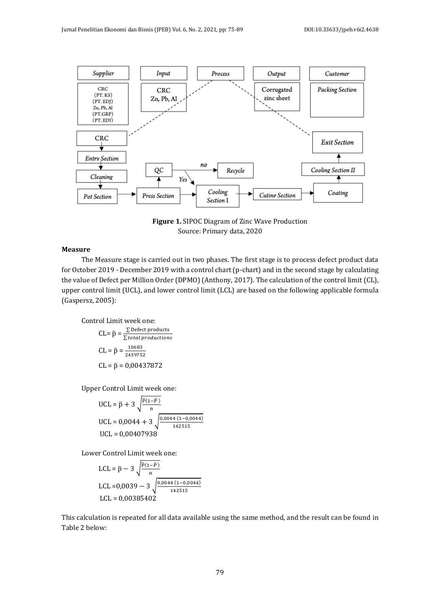

**Figure 1.** SIPOC Diagram of Zinc Wave Production Source: Primary data, 2020

# **Measure**

The Measure stage is carried out in two phases. The first stage is to process defect product data for October 2019 - December 2019 with a control chart (p-chart) and in the second stage by calculating the value of Defect per Million Order (DPMO) (Anthony, 2017). The calculation of the control limit (CL), upper control limit (UCL), and lower control limit (LCL) are based on the following applicable formula (Gaspersz, 2005):

Control Limit week one:

$$
CL = \overline{p} = \frac{\sum Defect\ products}{\sum total\ products}
$$
  
CL =  $\overline{p} = \frac{10683}{2439752}$   
CL =  $\overline{p} = 0.00437872$ 

Upper Control Limit week one:

UCL = 
$$
\bar{p} + 3\sqrt{\frac{p(1-\bar{p})}{n}}
$$
  
UCL = 0,0044 + 3 $\sqrt{\frac{0,0044 (1-0,0044)}{142515}}$   
UCL = 0,00407938

Lower Control Limit week one:

$$
LCL = \overline{p} - 3 \sqrt{\frac{p_{(1-\overline{p})}}{n}}
$$
  
LCL = 0,0039 - 3  $\sqrt{\frac{0.0044 (1-0.0044)}{142515}}$   
LCL = 0,00385402

This calculation is repeated for all data available using the same method, and the result can be found in Table 2 below: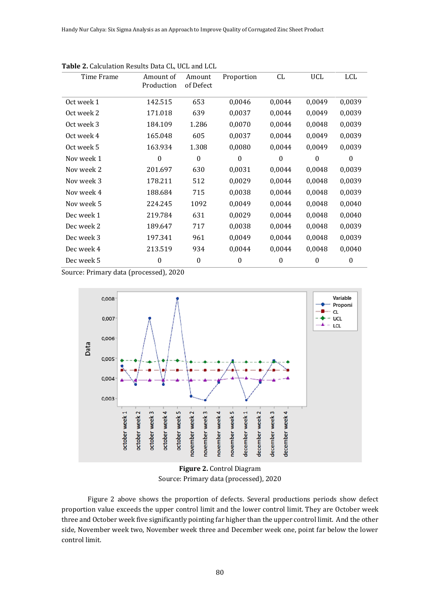| Time Frame | Amount of<br>Production | Amount<br>of Defect | Proportion       | CL               | UCL      | LCL              |
|------------|-------------------------|---------------------|------------------|------------------|----------|------------------|
| Oct week 1 | 142.515                 | 653                 | 0,0046           | 0,0044           | 0,0049   | 0,0039           |
| Oct week 2 | 171.018                 | 639                 | 0,0037           | 0,0044           | 0,0049   | 0,0039           |
| Oct week 3 | 184.109                 | 1.286               | 0,0070           | 0,0044           | 0,0048   | 0,0039           |
| Oct week 4 | 165.048                 | 605                 | 0,0037           | 0,0044           | 0,0049   | 0,0039           |
| Oct week 5 | 163.934                 | 1.308               | 0,0080           | 0,0044           | 0,0049   | 0,0039           |
| Nov week 1 | 0                       | $\boldsymbol{0}$    | $\boldsymbol{0}$ | $\boldsymbol{0}$ | $\theta$ | $\Omega$         |
| Nov week 2 | 201.697                 | 630                 | 0,0031           | 0,0044           | 0,0048   | 0,0039           |
| Nov week 3 | 178.211                 | 512                 | 0,0029           | 0,0044           | 0,0048   | 0,0039           |
| Nov week 4 | 188.684                 | 715                 | 0,0038           | 0,0044           | 0,0048   | 0,0039           |
| Nov week 5 | 224.245                 | 1092                | 0,0049           | 0,0044           | 0,0048   | 0,0040           |
| Dec week 1 | 219.784                 | 631                 | 0,0029           | 0,0044           | 0,0048   | 0,0040           |
| Dec week 2 | 189.647                 | 717                 | 0,0038           | 0,0044           | 0,0048   | 0,0039           |
| Dec week 3 | 197.341                 | 961                 | 0,0049           | 0,0044           | 0,0048   | 0,0039           |
| Dec week 4 | 213.519                 | 934                 | 0,0044           | 0,0044           | 0,0048   | 0,0040           |
| Dec week 5 | $\mathbf{0}$            | $\boldsymbol{0}$    | $\theta$         | $\theta$         | $\Omega$ | $\boldsymbol{0}$ |

**Table 2.** Calculation Results Data CL, UCL and LCL

Source: Primary data (processed), 2020



**Figure 2.** Control Diagram Source: Primary data (processed), 2020

Figure 2 above shows the proportion of defects. Several productions periods show defect proportion value exceeds the upper control limit and the lower control limit. They are October week three and October week five significantly pointing far higher than the upper control limit. And the other side, November week two, November week three and December week one, point far below the lower control limit.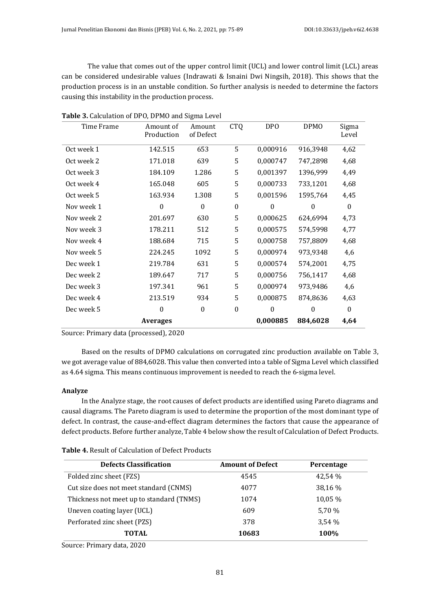The value that comes out of the upper control limit (UCL) and lower control limit (LCL) areas can be considered undesirable values (Indrawati & Isnaini Dwi Ningsih, 2018). This shows that the production process is in an unstable condition. So further analysis is needed to determine the factors causing this instability in the production process.

| Time Frame | Amount of<br>Production | Amount<br>of Defect | <b>CTQ</b>       | DP <sub>0</sub> | <b>DPMO</b>      | Sigma<br>Level |
|------------|-------------------------|---------------------|------------------|-----------------|------------------|----------------|
| Oct week 1 | 142.515                 | 653                 | 5                | 0,000916        | 916,3948         | 4,62           |
| Oct week 2 | 171.018                 | 639                 | 5                | 0,000747        | 747,2898         | 4,68           |
| Oct week 3 | 184.109                 | 1.286               | 5                | 0,001397        | 1396,999         | 4,49           |
| Oct week 4 | 165.048                 | 605                 | 5                | 0,000733        | 733,1201         | 4,68           |
| Oct week 5 | 163.934                 | 1.308               | 5                | 0,001596        | 1595,764         | 4,45           |
| Nov week 1 | $\mathbf{0}$            | $\theta$            | $\mathbf{0}$     | $\mathbf{0}$    | $\boldsymbol{0}$ | $\mathbf{0}$   |
| Nov week 2 | 201.697                 | 630                 | 5                | 0,000625        | 624,6994         | 4,73           |
| Nov week 3 | 178.211                 | 512                 | 5                | 0,000575        | 574,5998         | 4,77           |
| Nov week 4 | 188.684                 | 715                 | 5                | 0,000758        | 757,8809         | 4,68           |
| Nov week 5 | 224.245                 | 1092                | 5                | 0,000974        | 973,9348         | 4,6            |
| Dec week 1 | 219.784                 | 631                 | 5                | 0,000574        | 574,2001         | 4,75           |
| Dec week 2 | 189.647                 | 717                 | 5                | 0,000756        | 756,1417         | 4,68           |
| Dec week 3 | 197.341                 | 961                 | 5                | 0,000974        | 973,9486         | 4,6            |
| Dec week 4 | 213.519                 | 934                 | 5                | 0,000875        | 874,8636         | 4,63           |
| Dec week 5 | $\Omega$                | $\theta$            | $\boldsymbol{0}$ | $\theta$        | $\theta$         | $\Omega$       |
|            | <b>Averages</b>         |                     |                  | 0,000885        | 884,6028         | 4,64           |

|  | Table 3. Calculation of DPO, DPMO and Sigma Level |
|--|---------------------------------------------------|
|  |                                                   |

Source: Primary data (processed), 2020

Based on the results of DPMO calculations on corrugated zinc production available on Table 3, we got average value of 884,6028. This value then converted into a table of Sigma Level which classified as 4.64 sigma. This means continuous improvement is needed to reach the 6-sigma level.

# **Analyze**

In the Analyze stage, the root causes of defect products are identified using Pareto diagrams and causal diagrams. The Pareto diagram is used to determine the proportion of the most dominant type of defect. In contrast, the cause-and-effect diagram determines the factors that cause the appearance of defect products. Before further analyze, Table 4 below show the result of Calculation of Defect Products.

| <b>Table 4.</b> Result of Calculation of Defect Products |  |
|----------------------------------------------------------|--|
|----------------------------------------------------------|--|

| <b>Defects Classification</b>            | <b>Amount of Defect</b> | Percentage |
|------------------------------------------|-------------------------|------------|
| Folded zinc sheet (FZS)                  | 4545                    | 42.54 %    |
| Cut size does not meet standard (CNMS)   | 4077                    | 38,16 %    |
| Thickness not meet up to standard (TNMS) | 1074                    | 10,05 %    |
| Uneven coating layer (UCL)               | 609                     | 5.70 %     |
| Perforated zinc sheet (PZS)              | 378                     | 3.54%      |
| TOTAL                                    | 10683                   | 100%       |
|                                          |                         |            |

Source: Primary data, 2020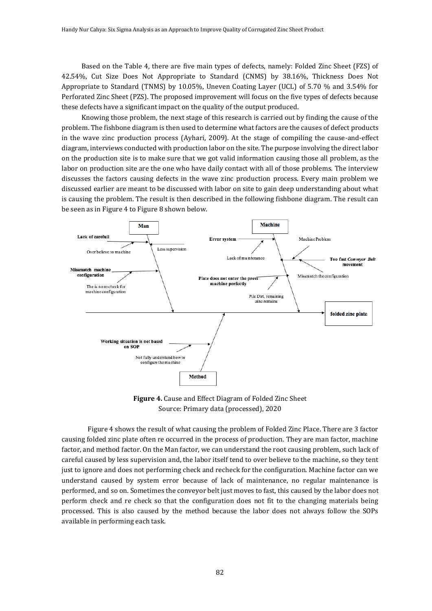Based on the Table 4, there are five main types of defects, namely: Folded Zinc Sheet (FZS) of 42.54%, Cut Size Does Not Appropriate to Standard (CNMS) by 38.16%, Thickness Does Not Appropriate to Standard (TNMS) by 10.05%, Uneven Coating Layer (UCL) of 5.70 % and 3.54% for Perforated Zinc Sheet (PZS). The proposed improvement will focus on the five types of defects because these defects have a significant impact on the quality of the output produced.

Knowing those problem, the next stage of this research is carried out by finding the cause of the problem. The fishbone diagram is then used to determine what factors are the causes of defect products in the wave zinc production process (Ayhari, 2009). At the stage of compiling the cause-and-effect diagram, interviews conducted with production labor on the site. The purpose involving the direct labor on the production site is to make sure that we got valid information causing those all problem, as the labor on production site are the one who have daily contact with all of those problems. The interview discusses the factors causing defects in the wave zinc production process. Every main problem we discussed earlier are meant to be discussed with labor on site to gain deep understanding about what is causing the problem. The result is then described in the following fishbone diagram. The result can be seen as in Figure 4 to Figure 8 shown below.



**Figure 4.** Cause and Effect Diagram of Folded Zinc Sheet Source: Primary data (processed), 2020

Figure 4 shows the result of what causing the problem of Folded Zinc Place. There are 3 factor causing folded zinc plate often re occurred in the process of production. They are man factor, machine factor, and method factor. On the Man factor, we can understand the root causing problem, such lack of careful caused by less supervision and, the labor itself tend to over believe to the machine, so they tent just to ignore and does not performing check and recheck for the configuration. Machine factor can we understand caused by system error because of lack of maintenance, no regular maintenance is performed, and so on. Sometimes the conveyor belt just moves to fast, this caused by the labor does not perform check and re check so that the configuration does not fit to the changing materials being processed. This is also caused by the method because the labor does not always follow the SOPs available in performing each task.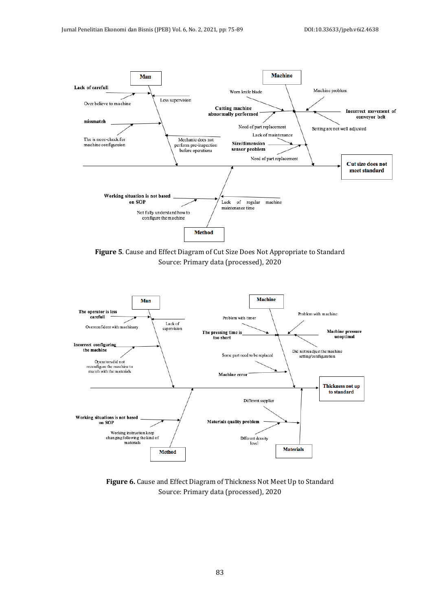

**Figure 5**. Cause and Effect Diagram of Cut Size Does Not Appropriate to Standard Source: Primary data (processed), 2020



**Figure 6.** Cause and Effect Diagram of Thickness Not Meet Up to Standard Source: Primary data (processed), 2020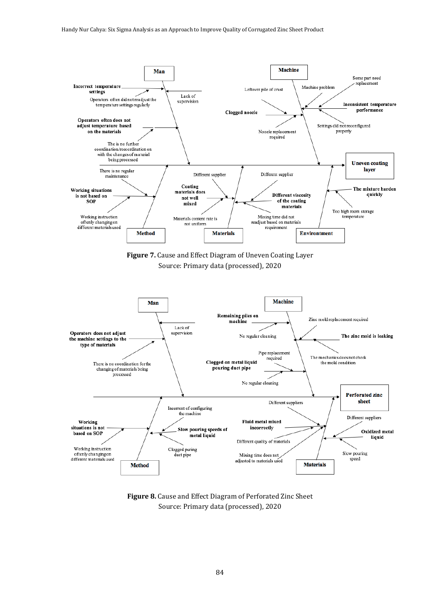

**Figure 8.** Cause and Effect Diagram of Perforated Zinc Sheet Source: Primary data (processed), 2020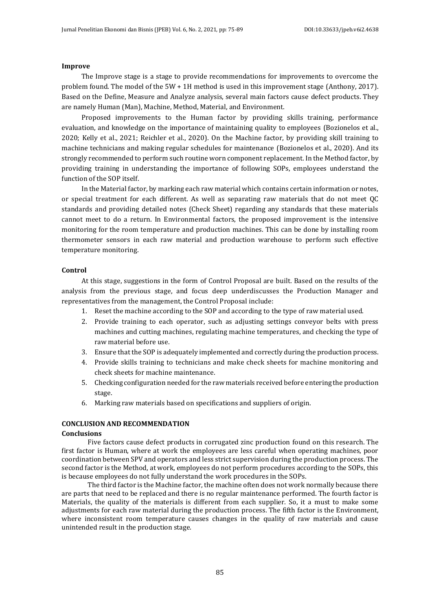#### **Improve**

The Improve stage is a stage to provide recommendations for improvements to overcome the problem found. The model of the 5W + 1H method is used in this improvement stage (Anthony, 2017). Based on the Define, Measure and Analyze analysis, several main factors cause defect products. They are namely Human (Man), Machine, Method, Material, and Environment.

Proposed improvements to the Human factor by providing skills training, performance evaluation, and knowledge on the importance of maintaining quality to employees (Bozionelos et al., 2020; Kelly et al., 2021; Reichler et al., 2020). On the Machine factor, by providing skill training to machine technicians and making regular schedules for maintenance (Bozionelos et al., 2020). And its strongly recommended to perform such routine worn component replacement. In the Method factor, by providing training in understanding the importance of following SOPs, employees understand the function of the SOP itself.

In the Material factor, by marking each raw material which contains certain information or notes, or special treatment for each different. As well as separating raw materials that do not meet QC standards and providing detailed notes (Check Sheet) regarding any standards that these materials cannot meet to do a return. In Environmental factors, the proposed improvement is the intensive monitoring for the room temperature and production machines. This can be done by installing room thermometer sensors in each raw material and production warehouse to perform such effective temperature monitoring.

## **Control**

At this stage, suggestions in the form of Control Proposal are built. Based on the results of the analysis from the previous stage, and focus deep underdiscusses the Production Manager and representatives from the management, the Control Proposal include:

- 1. Reset the machine according to the SOP and according to the type of raw material used.
- 2. Provide training to each operator, such as adjusting settings conveyor belts with press machines and cutting machines, regulating machine temperatures, and checking the type of raw material before use.
- 3. Ensure that the SOP is adequately implemented and correctly during the production process.
- 4. Provide skills training to technicians and make check sheets for machine monitoring and check sheets for machine maintenance.
- 5. Checking configuration needed for the raw materials received before entering the production stage.
- 6. Marking raw materials based on specifications and suppliers of origin.

# **CONCLUSION AND RECOMMENDATION**

## **Conclusions**

Five factors cause defect products in corrugated zinc production found on this research. The first factor is Human, where at work the employees are less careful when operating machines, poor coordination between SPV and operators and less strict supervision during the production process. The second factor is the Method, at work, employees do not perform procedures according to the SOPs, this is because employees do not fully understand the work procedures in the SOPs.

The third factor is the Machine factor, the machine often does not work normally because there are parts that need to be replaced and there is no regular maintenance performed. The fourth factor is Materials, the quality of the materials is different from each supplier. So, it a must to make some adjustments for each raw material during the production process. The fifth factor is the Environment, where inconsistent room temperature causes changes in the quality of raw materials and cause unintended result in the production stage.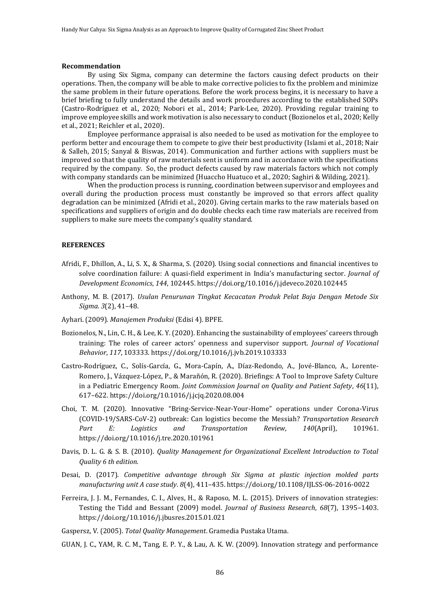#### **Recommendation**

By using Six Sigma, company can determine the factors causing defect products on their operations. Then, the company will be able to make corrective policies to fix the problem and minimize the same problem in their future operations. Before the work process begins, it is necessary to have a brief briefing to fully understand the details and work procedures according to the established SOPs (Castro-Rodríguez et al., 2020; Nobori et al., 2014; Park-Lee, 2020). Providing regular training to improve employee skills and work motivation is also necessary to conduct (Bozionelos et al., 2020; Kelly et al., 2021; Reichler et al., 2020).

Employee performance appraisal is also needed to be used as motivation for the employee to perform better and encourage them to compete to give their best productivity (Islami et al., 2018; Nair & Salleh, 2015; Sanyal & Biswas, 2014). Communication and further actions with suppliers must be improved so that the quality of raw materials sent is uniform and in accordance with the specifications required by the company. So, the product defects caused by raw materials factors which not comply with company standards can be minimized (Huaccho Huatuco et al., 2020; Saghiri & Wilding, 2021).

When the production process is running, coordination between supervisor and employees and overall during the production process must constantly be improved so that errors affect quality degradation can be minimized (Afridi et al., 2020). Giving certain marks to the raw materials based on specifications and suppliers of origin and do double checks each time raw materials are received from suppliers to make sure meets the company's quality standard.

# **REFERENCES**

- Afridi, F., Dhillon, A., Li, S. X., & Sharma, S. (2020). Using social connections and financial incentives to solve coordination failure: A quasi-field experiment in India's manufacturing sector. *Journal of Development Economics*, *144*, 102445. https://doi.org/10.1016/j.jdeveco.2020.102445
- Anthony, M. B. (2017). *Usulan Penurunan Tingkat Kecacatan Produk Pelat Baja Dengan Metode Six Sigma*. *3*(2), 41–48.
- Ayhari. (2009). *Manajemen Produksi* (Edisi 4). BPFE.
- Bozionelos, N., Lin, C. H., & Lee, K. Y. (2020). Enhancing the sustainability of employees' careers through training: The roles of career actors' openness and supervisor support. *Journal of Vocational Behavior*, *117*, 103333. https://doi.org/10.1016/j.jvb.2019.103333
- Castro-Rodríguez, C., Solís-García, G., Mora-Capín, A., Díaz-Redondo, A., Jové-Blanco, A., Lorente-Romero, J., Vázquez-López, P., & Marañón, R. (2020). Briefings: A Tool to Improve Safety Culture in a Pediatric Emergency Room. *Joint Commission Journal on Quality and Patient Safety*, *46*(11), 617–622. https://doi.org/10.1016/j.jcjq.2020.08.004
- Choi, T. M. (2020). Innovative "Bring-Service-Near-Your-Home" operations under Corona-Virus (COVID-19/SARS-CoV-2) outbreak: Can logistics become the Messiah? *Transportation Research Part E: Logistics and Transportation Review*, *140*(April), 101961. https://doi.org/10.1016/j.tre.2020.101961
- Davis, D. L. G. & S. B. (2010). *Quality Management for Organizational Excellent Introduction to Total Quality 6 th edition*.
- Desai, D. (2017). *Competitive advantage through Six Sigma at plastic injection molded parts manufacturing unit A case study*. *8*(4), 411–435. https://doi.org/10.1108/IJLSS-06-2016-0022
- Ferreira, J. J. M., Fernandes, C. I., Alves, H., & Raposo, M. L. (2015). Drivers of innovation strategies: Testing the Tidd and Bessant (2009) model. *Journal of Business Research*, *68*(7), 1395–1403. https://doi.org/10.1016/j.jbusres.2015.01.021

Gaspersz, V. (2005). *Total Quality Management*. Gramedia Pustaka Utama.

GUAN, J. C., YAM, R. C. M., Tang, E. P. Y., & Lau, A. K. W. (2009). Innovation strategy and performance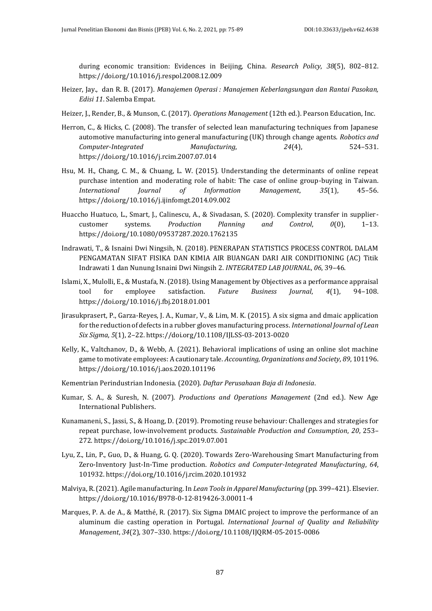during economic transition: Evidences in Beijing, China. *Research Policy*, *38*(5), 802–812. https://doi.org/10.1016/j.respol.2008.12.009

- Heizer, Jay., dan R. B. (2017). *Manajemen Operasi : Manajemen Keberlangsungan dan Rantai Pasokan, Edisi 11*. Salemba Empat.
- Heizer, J., Render, B., & Munson, C. (2017). *Operations Management* (12th ed.). Pearson Education, Inc.
- Herron, C., & Hicks, C. (2008). The transfer of selected lean manufacturing techniques from Japanese automotive manufacturing into general manufacturing (UK) through change agents. *Robotics and Computer-Integrated Manufacturing*, *24*(4), 524–531. https://doi.org/10.1016/j.rcim.2007.07.014
- Hsu, M. H., Chang, C. M., & Chuang, L. W. (2015). Understanding the determinants of online repeat purchase intention and moderating role of habit: The case of online group-buying in Taiwan. *International Journal of Information Management*, *35*(1), 45–56. https://doi.org/10.1016/j.ijinfomgt.2014.09.002
- Huaccho Huatuco, L., Smart, J., Calinescu, A., & Sivadasan, S. (2020). Complexity transfer in suppliercustomer systems. *Production Planning and Control*, *0*(0), 1–13. https://doi.org/10.1080/09537287.2020.1762135
- Indrawati, T., & Isnaini Dwi Ningsih, N. (2018). PENERAPAN STATISTICS PROCESS CONTROL DALAM PENGAMATAN SIFAT FISIKA DAN KIMIA AIR BUANGAN DARI AIR CONDITIONING (AC) Titik Indrawati 1 dan Nunung Isnaini Dwi Ningsih 2. *INTEGRATED LAB JOURNAL*, *06*, 39–46.
- Islami, X., Mulolli, E., & Mustafa, N. (2018). Using Management by Objectives as a performance appraisal tool for employee satisfaction. *Future Business Journal*, *4*(1), 94–108. https://doi.org/10.1016/j.fbj.2018.01.001
- Jirasukprasert, P., Garza-Reyes, J. A., Kumar, V., & Lim, M. K. (2015). A six sigma and dmaic application for the reduction of defects in a rubber gloves manufacturing process. *International Journal of Lean Six Sigma*, *5*(1), 2–22. https://doi.org/10.1108/IJLSS-03-2013-0020
- Kelly, K., Valtchanov, D., & Webb, A. (2021). Behavioral implications of using an online slot machine game to motivate employees: A cautionary tale. *Accounting, Organizations and Society*, *89*, 101196. https://doi.org/10.1016/j.aos.2020.101196
- Kementrian Perindustrian Indonesia. (2020). *Daftar Perusahaan Baja di Indonesia*.
- Kumar, S. A., & Suresh, N. (2007). *Productions and Operations Management* (2nd ed.). New Age International Publishers.
- Kunamaneni, S., Jassi, S., & Hoang, D. (2019). Promoting reuse behaviour: Challenges and strategies for repeat purchase, low-involvement products. *Sustainable Production and Consumption*, *20*, 253– 272. https://doi.org/10.1016/j.spc.2019.07.001
- Lyu, Z., Lin, P., Guo, D., & Huang, G. Q. (2020). Towards Zero-Warehousing Smart Manufacturing from Zero-Inventory Just-In-Time production. *Robotics and Computer-Integrated Manufacturing*, *64*, 101932. https://doi.org/10.1016/j.rcim.2020.101932
- Malviya, R. (2021). Agile manufacturing. In *Lean Tools in Apparel Manufacturing* (pp. 399–421). Elsevier. https://doi.org/10.1016/B978-0-12-819426-3.00011-4
- Marques, P. A. de A., & Matthé, R. (2017). Six Sigma DMAIC project to improve the performance of an aluminum die casting operation in Portugal. *International Journal of Quality and Reliability Management*, *34*(2), 307–330. https://doi.org/10.1108/IJQRM-05-2015-0086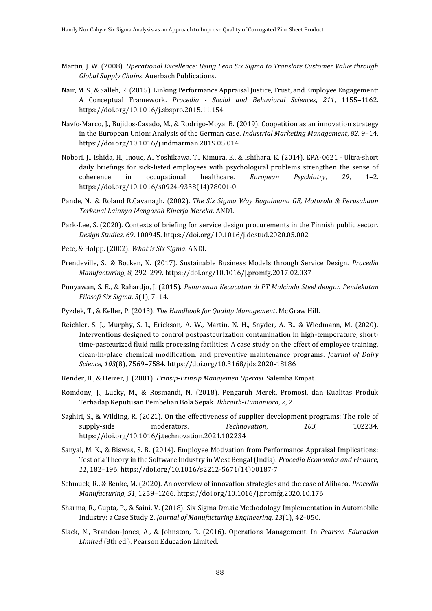- Martin, J. W. (2008). *Operational Excellence: Using Lean Six Sigma to Translate Customer Value through Global Supply Chains*. Auerbach Publications.
- Nair, M. S., & Salleh, R. (2015). Linking Performance Appraisal Justice, Trust, and Employee Engagement: A Conceptual Framework. *Procedia - Social and Behavioral Sciences*, *211*, 1155–1162. https://doi.org/10.1016/j.sbspro.2015.11.154
- Navío-Marco, J., Bujidos-Casado, M., & Rodrigo-Moya, B. (2019). Coopetition as an innovation strategy in the European Union: Analysis of the German case. *Industrial Marketing Management*, *82*, 9–14. https://doi.org/10.1016/j.indmarman.2019.05.014
- Nobori, J., Ishida, H., Inoue, A., Yoshikawa, T., Kimura, E., & Ishihara, K. (2014). EPA-0621 Ultra-short daily briefings for sick-listed employees with psychological problems strengthen the sense of coherence in occupational healthcare. *European Psychiatry*, *29*, 1–2. https://doi.org/10.1016/s0924-9338(14)78001-0
- Pande, N., & Roland R.Cavanagh. (2002). *The Six Sigma Way Bagaimana GE, Motorola & Perusahaan Terkenal Lainnya Mengasah Kinerja Mereka*. ANDI.
- Park-Lee, S. (2020). Contexts of briefing for service design procurements in the Finnish public sector. *Design Studies*, *69*, 100945. https://doi.org/10.1016/j.destud.2020.05.002
- Pete, & Holpp. (2002). *What is Six Sigma*. ANDI.
- Prendeville, S., & Bocken, N. (2017). Sustainable Business Models through Service Design. *Procedia Manufacturing*, *8*, 292–299. https://doi.org/10.1016/j.promfg.2017.02.037
- Punyawan, S. E., & Rahardjo, J. (2015). *Penurunan Kecacatan di PT Mulcindo Steel dengan Pendekatan Filosofi Six Sigma*. *3*(1), 7–14.
- Pyzdek, T., & Keller, P. (2013). *The Handbook for Quality Management*. Mc Graw Hill.
- Reichler, S. J., Murphy, S. I., Erickson, A. W., Martin, N. H., Snyder, A. B., & Wiedmann, M. (2020). Interventions designed to control postpasteurization contamination in high-temperature, shorttime-pasteurized fluid milk processing facilities: A case study on the effect of employee training, clean-in-place chemical modification, and preventive maintenance programs. *Journal of Dairy Science*, *103*(8), 7569–7584. https://doi.org/10.3168/jds.2020-18186
- Render, B., & Heizer, J. (2001). *Prinsip-Prinsip Manajemen Operasi*. Salemba Empat.
- Romdony, J., Lucky, M., & Rosmandi, N. (2018). Pengaruh Merek, Promosi, dan Kualitas Produk Terhadap Keputusan Pembelian Bola Sepak. *Ikhraith-Humaniora*, *2*, 2.
- Saghiri, S., & Wilding, R. (2021). On the effectiveness of supplier development programs: The role of supply-side moderators. *Technovation*, 103, 102234. https://doi.org/10.1016/j.technovation.2021.102234
- Sanyal, M. K., & Biswas, S. B. (2014). Employee Motivation from Performance Appraisal Implications: Test of a Theory in the Software Industry in West Bengal (India). *Procedia Economics and Finance*, *11*, 182–196. https://doi.org/10.1016/s2212-5671(14)00187-7
- Schmuck, R., & Benke, M. (2020). An overview of innovation strategies and the case of Alibaba. *Procedia Manufacturing*, *51*, 1259–1266. https://doi.org/10.1016/j.promfg.2020.10.176
- Sharma, R., Gupta, P., & Saini, V. (2018). Six Sigma Dmaic Methodology Implementation in Automobile Industry: a Case Study 2. *Journal of Manufacturing Engineering*, *13*(1), 42–050.
- Slack, N., Brandon-Jones, A., & Johnston, R. (2016). Operations Management. In *Pearson Education Limited* (8th ed.). Pearson Education Limited.